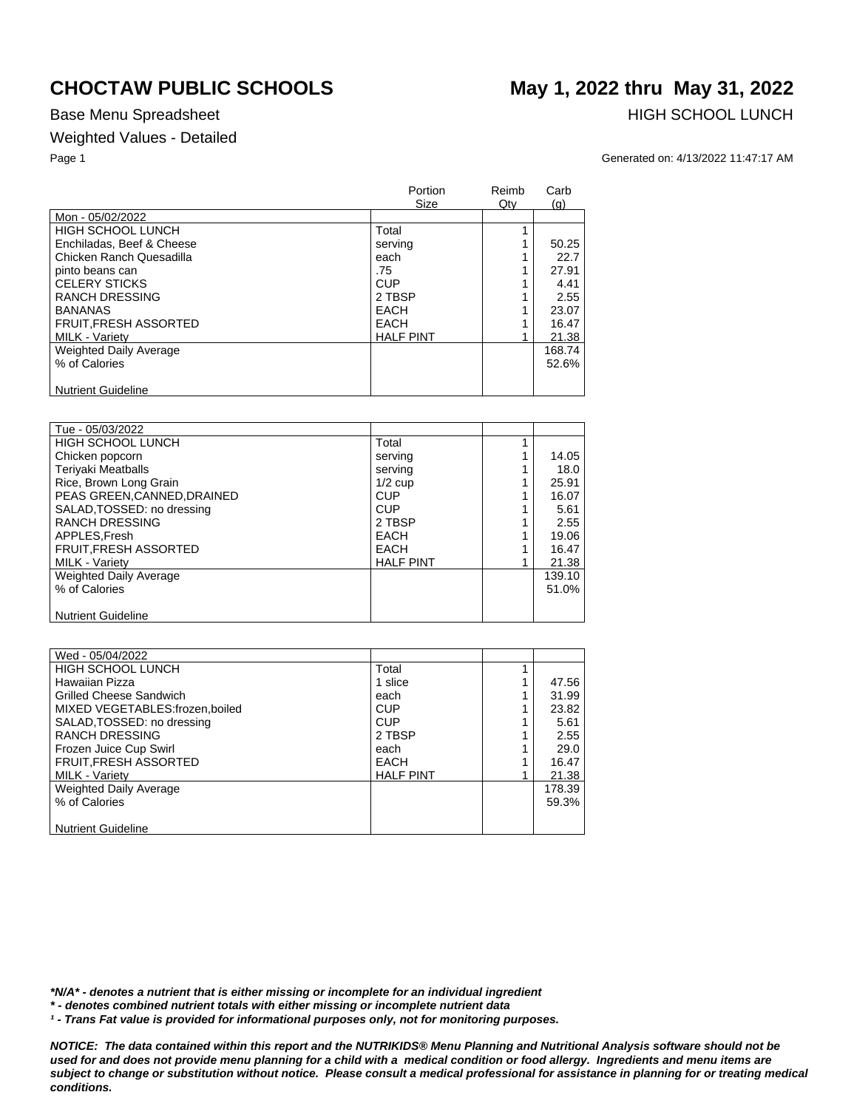## Weighted Values - Detailed

Base Menu Spreadsheet **HIGH SCHOOL LUNCH** 

Page 1 Generated on: 4/13/2022 11:47:17 AM

|                               | Portion<br>Size  | Reimb<br>Qty | Carb<br>(g) |
|-------------------------------|------------------|--------------|-------------|
| Mon - 05/02/2022              |                  |              |             |
| <b>HIGH SCHOOL LUNCH</b>      | Total            |              |             |
| Enchiladas, Beef & Cheese     | serving          |              | 50.25       |
| Chicken Ranch Quesadilla      | each             |              | 22.7        |
| pinto beans can               | .75              |              | 27.91       |
| <b>CELERY STICKS</b>          | <b>CUP</b>       |              | 4.41        |
| <b>RANCH DRESSING</b>         | 2 TBSP           |              | 2.55        |
| <b>BANANAS</b>                | <b>EACH</b>      |              | 23.07       |
| <b>FRUIT, FRESH ASSORTED</b>  | <b>EACH</b>      |              | 16.47       |
| <b>MILK - Variety</b>         | <b>HALF PINT</b> |              | 21.38       |
| <b>Weighted Daily Average</b> |                  |              | 168.74      |
| % of Calories                 |                  |              | 52.6%       |
| <b>Nutrient Guideline</b>     |                  |              |             |

| Tue - 05/03/2022             |                  |        |
|------------------------------|------------------|--------|
| <b>HIGH SCHOOL LUNCH</b>     | Total            |        |
| Chicken popcorn              | serving          | 14.05  |
| <b>Teriyaki Meatballs</b>    | serving          | 18.0   |
| Rice, Brown Long Grain       | $1/2$ cup        | 25.91  |
| PEAS GREEN, CANNED, DRAINED  | <b>CUP</b>       | 16.07  |
| SALAD, TOSSED: no dressing   | <b>CUP</b>       | 5.61   |
| <b>RANCH DRESSING</b>        | 2 TBSP           | 2.55   |
| APPLES.Fresh                 | <b>EACH</b>      | 19.06  |
| <b>FRUIT, FRESH ASSORTED</b> | <b>EACH</b>      | 16.47  |
| <b>MILK - Variety</b>        | <b>HALF PINT</b> | 21.38  |
| Weighted Daily Average       |                  | 139.10 |
| % of Calories                |                  | 51.0%  |
|                              |                  |        |
| <b>Nutrient Guideline</b>    |                  |        |

| Wed - 05/04/2022               |                  |        |
|--------------------------------|------------------|--------|
| HIGH SCHOOL LUNCH              | Total            |        |
| Hawaiian Pizza                 | 1 slice          | 47.56  |
| <b>Grilled Cheese Sandwich</b> | each             | 31.99  |
| MIXED VEGETABLES:frozen.boiled | <b>CUP</b>       | 23.82  |
| SALAD, TOSSED: no dressing     | CUP              | 5.61   |
| <b>RANCH DRESSING</b>          | 2 TBSP           | 2.55   |
| Frozen Juice Cup Swirl         | each             | 29.0   |
| FRUIT, FRESH ASSORTED          | EACH             | 16.47  |
| <b>MILK - Variety</b>          | <b>HALF PINT</b> | 21.38  |
| <b>Weighted Daily Average</b>  |                  | 178.39 |
| % of Calories                  |                  | 59.3%  |
|                                |                  |        |
| <b>Nutrient Guideline</b>      |                  |        |

*\*N/A\* - denotes a nutrient that is either missing or incomplete for an individual ingredient*

*\* - denotes combined nutrient totals with either missing or incomplete nutrient data*

*¹ - Trans Fat value is provided for informational purposes only, not for monitoring purposes.*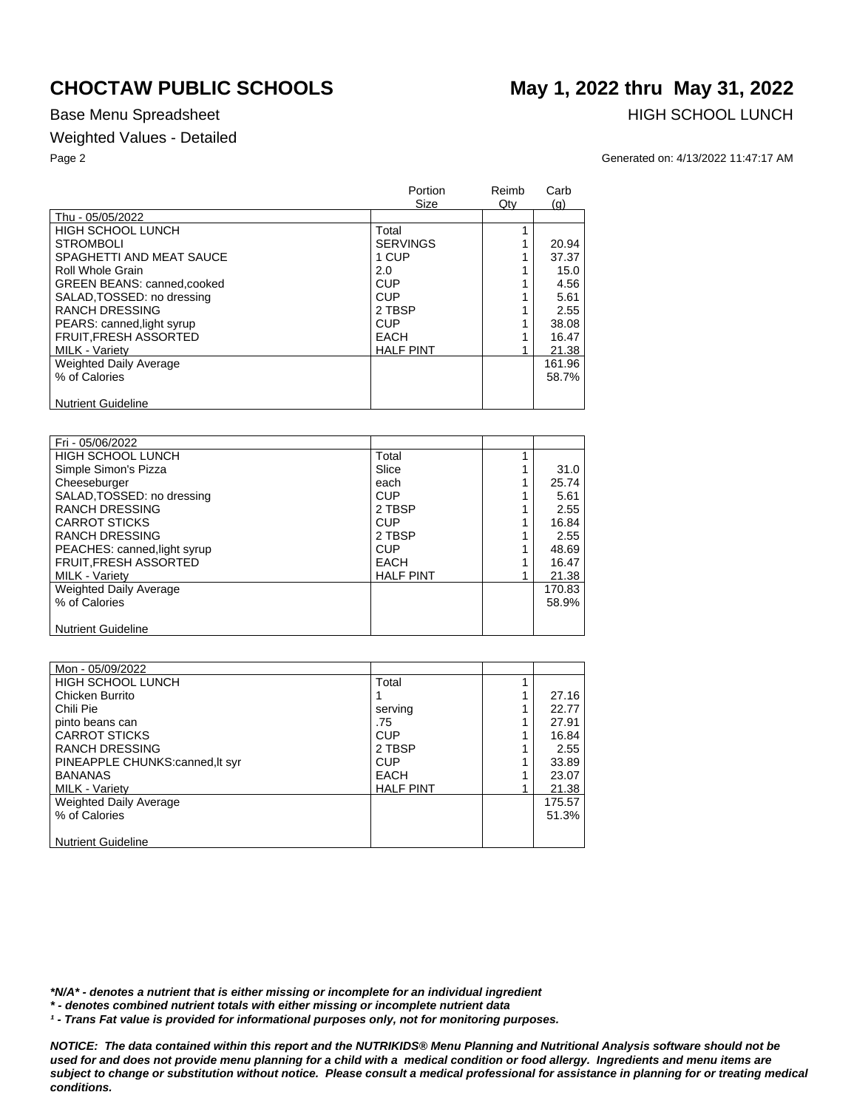## Weighted Values - Detailed

# **CHOCTAW PUBLIC SCHOOLS May 1, 2022 thru May 31, 2022**

Base Menu Spreadsheet **HIGH SCHOOL LUNCH** 

Page 2 Generated on: 4/13/2022 11:47:17 AM

|                             | Portion<br><b>Size</b> | Reimb<br>Qty | Carb<br>(q) |
|-----------------------------|------------------------|--------------|-------------|
| Thu - 05/05/2022            |                        |              |             |
| <b>HIGH SCHOOL LUNCH</b>    | Total                  |              |             |
| <b>STROMBOLI</b>            | <b>SERVINGS</b>        |              | 20.94       |
| SPAGHETTI AND MEAT SAUCE    | 1 CUP                  |              | 37.37       |
| Roll Whole Grain            | 2.0                    |              | 15.0        |
| GREEN BEANS: canned, cooked | <b>CUP</b>             |              | 4.56        |
| SALAD, TOSSED: no dressing  | <b>CUP</b>             |              | 5.61        |
| <b>RANCH DRESSING</b>       | 2 TBSP                 |              | 2.55        |
| PEARS: canned, light syrup  | <b>CUP</b>             |              | 38.08       |
| FRUIT, FRESH ASSORTED       | <b>EACH</b>            |              | 16.47       |
| <b>MILK - Variety</b>       | <b>HALF PINT</b>       |              | 21.38       |
| Weighted Daily Average      |                        |              | 161.96      |
| % of Calories               |                        |              | 58.7%       |
| <b>Nutrient Guideline</b>   |                        |              |             |

| Fri - 05/06/2022              |                  |        |
|-------------------------------|------------------|--------|
| <b>HIGH SCHOOL LUNCH</b>      | Total            |        |
| Simple Simon's Pizza          | Slice            | 31.0   |
| Cheeseburger                  | each             | 25.74  |
| SALAD, TOSSED: no dressing    | <b>CUP</b>       | 5.61   |
| <b>RANCH DRESSING</b>         | 2 TBSP           | 2.55   |
| <b>CARROT STICKS</b>          | <b>CUP</b>       | 16.84  |
| <b>RANCH DRESSING</b>         | 2 TBSP           | 2.55   |
| PEACHES: canned, light syrup  | <b>CUP</b>       | 48.69  |
| <b>FRUIT, FRESH ASSORTED</b>  | <b>EACH</b>      | 16.47  |
| <b>MILK - Variety</b>         | <b>HALF PINT</b> | 21.38  |
| <b>Weighted Daily Average</b> |                  | 170.83 |
| % of Calories                 |                  | 58.9%  |
|                               |                  |        |
| <b>Nutrient Guideline</b>     |                  |        |

| Mon - 05/09/2022               |                  |        |
|--------------------------------|------------------|--------|
| <b>HIGH SCHOOL LUNCH</b>       | Total            |        |
| Chicken Burrito                |                  | 27.16  |
| Chili Pie                      | serving          | 22.77  |
| pinto beans can                | .75              | 27.91  |
| <b>CARROT STICKS</b>           | CUP              | 16.84  |
| <b>RANCH DRESSING</b>          | 2 TBSP           | 2.55   |
| PINEAPPLE CHUNKS:canned.lt syr | CUP              | 33.89  |
| <b>BANANAS</b>                 | EACH             | 23.07  |
| <b>MILK - Variety</b>          | <b>HALF PINT</b> | 21.38  |
| Weighted Daily Average         |                  | 175.57 |
| % of Calories                  |                  | 51.3%  |
|                                |                  |        |
| <b>Nutrient Guideline</b>      |                  |        |

*\*N/A\* - denotes a nutrient that is either missing or incomplete for an individual ingredient*

*\* - denotes combined nutrient totals with either missing or incomplete nutrient data*

*¹ - Trans Fat value is provided for informational purposes only, not for monitoring purposes.*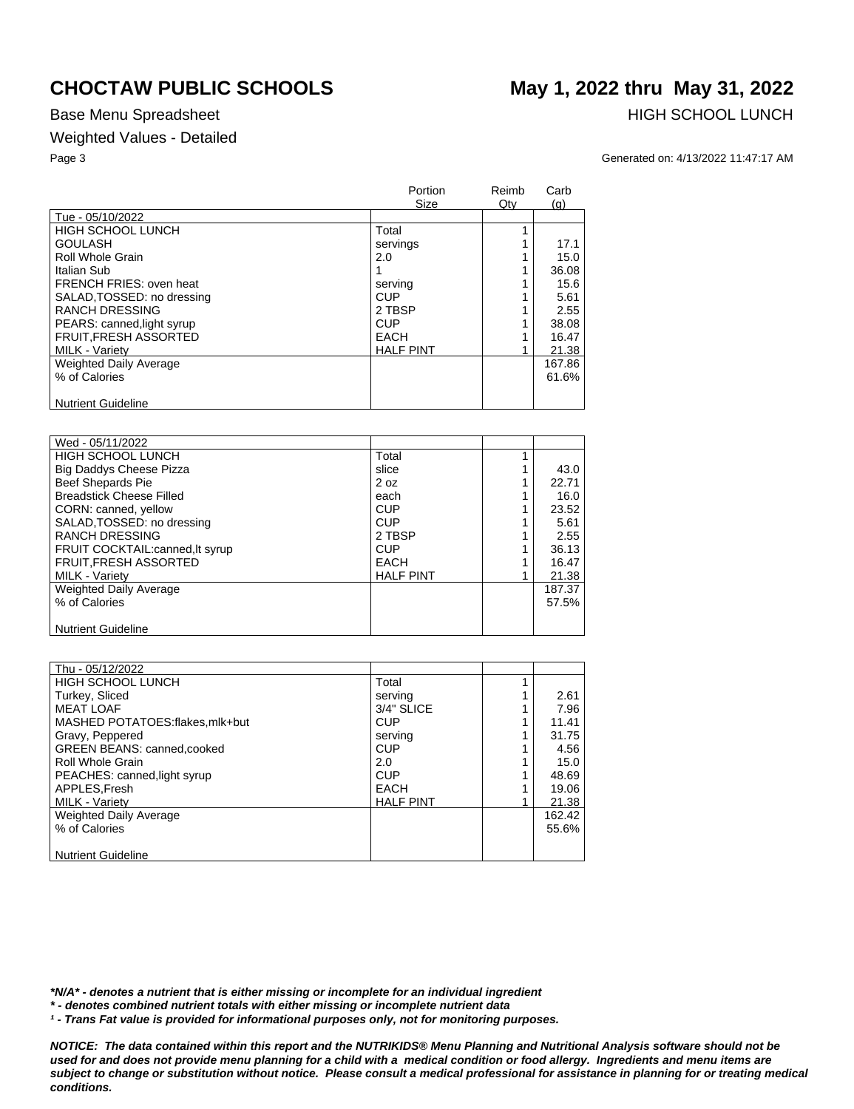## Weighted Values - Detailed

Base Menu Spreadsheet **HIGH SCHOOL LUNCH** 

## Page 3 Generated on: 4/13/2022 11:47:17 AM

|                               | Portion<br>Size  | Reimb<br>$Q$ ty | Carb<br>(g) |
|-------------------------------|------------------|-----------------|-------------|
| Tue - 05/10/2022              |                  |                 |             |
| <b>HIGH SCHOOL LUNCH</b>      | Total            |                 |             |
| <b>GOULASH</b>                | servings         |                 | 17.1        |
| Roll Whole Grain              | 2.0              |                 | 15.0        |
| Italian Sub                   |                  |                 | 36.08       |
| FRENCH FRIES: oven heat       | serving          |                 | 15.6        |
| SALAD, TOSSED: no dressing    | <b>CUP</b>       |                 | 5.61        |
| <b>RANCH DRESSING</b>         | 2 TBSP           |                 | 2.55        |
| PEARS: canned, light syrup    | <b>CUP</b>       |                 | 38.08       |
| <b>FRUIT.FRESH ASSORTED</b>   | EACH             |                 | 16.47       |
| <b>MILK - Varietv</b>         | <b>HALF PINT</b> |                 | 21.38       |
| <b>Weighted Daily Average</b> |                  |                 | 167.86      |
| % of Calories                 |                  |                 | 61.6%       |
| <b>Nutrient Guideline</b>     |                  |                 |             |

| Wed - 05/11/2022                 |                  |        |
|----------------------------------|------------------|--------|
| <b>HIGH SCHOOL LUNCH</b>         | Total            |        |
| Big Daddys Cheese Pizza          | slice            | 43.0   |
| <b>Beef Shepards Pie</b>         | 2 oz             | 22.71  |
| <b>Breadstick Cheese Filled</b>  | each             | 16.0   |
| CORN: canned, yellow             | <b>CUP</b>       | 23.52  |
| SALAD, TOSSED: no dressing       | <b>CUP</b>       | 5.61   |
| <b>RANCH DRESSING</b>            | 2 TBSP           | 2.55   |
| FRUIT COCKTAIL: canned, It syrup | <b>CUP</b>       | 36.13  |
| <b>FRUIT, FRESH ASSORTED</b>     | <b>EACH</b>      | 16.47  |
| <b>MILK - Variety</b>            | <b>HALF PINT</b> | 21.38  |
| <b>Weighted Daily Average</b>    |                  | 187.37 |
| % of Calories                    |                  | 57.5%  |
|                                  |                  |        |
| <b>Nutrient Guideline</b>        |                  |        |

| Thu - 05/12/2022                   |                  |        |
|------------------------------------|------------------|--------|
| <b>HIGH SCHOOL LUNCH</b>           | Total            |        |
| Turkey, Sliced                     | serving          | 2.61   |
| <b>MEAT LOAF</b>                   | 3/4" SLICE       | 7.96   |
| MASHED POTATOES:flakes.mlk+but     | <b>CUP</b>       | 11.41  |
| Gravy, Peppered                    | serving          | 31.75  |
| <b>GREEN BEANS: canned, cooked</b> | CUP              | 4.56   |
| Roll Whole Grain                   | 2.0              | 15.0   |
| PEACHES: canned, light syrup       | <b>CUP</b>       | 48.69  |
| APPLES, Fresh                      | <b>EACH</b>      | 19.06  |
| <b>MILK - Variety</b>              | <b>HALF PINT</b> | 21.38  |
| Weighted Daily Average             |                  | 162.42 |
| % of Calories                      |                  | 55.6%  |
|                                    |                  |        |
| <b>Nutrient Guideline</b>          |                  |        |

*\*N/A\* - denotes a nutrient that is either missing or incomplete for an individual ingredient*

*\* - denotes combined nutrient totals with either missing or incomplete nutrient data*

*¹ - Trans Fat value is provided for informational purposes only, not for monitoring purposes.*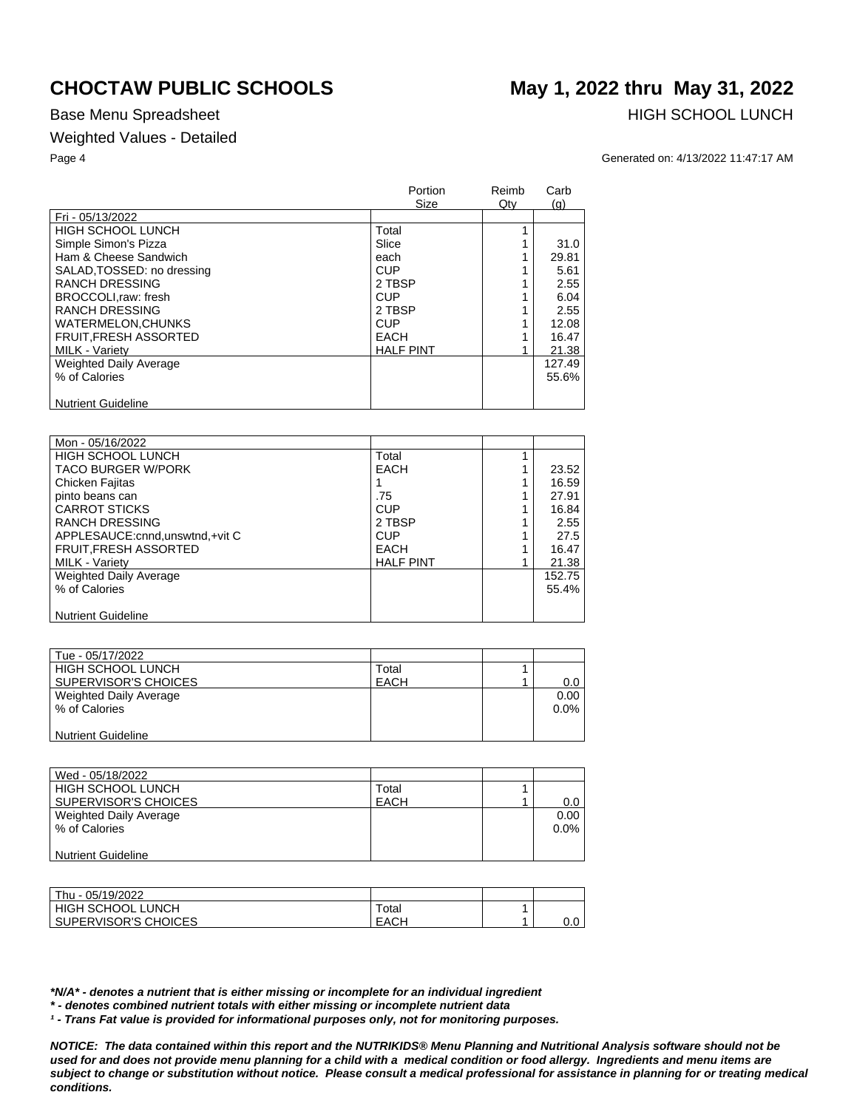## Weighted Values - Detailed

Base Menu Spreadsheet **HIGH SCHOOL LUNCH** 

## Page 4 Generated on: 4/13/2022 11:47:17 AM

|                               | Portion<br>Size  | Reimb<br>Qty | Carb<br>(q) |
|-------------------------------|------------------|--------------|-------------|
| Fri - 05/13/2022              |                  |              |             |
| <b>HIGH SCHOOL LUNCH</b>      | Total            |              |             |
| Simple Simon's Pizza          | Slice            |              | 31.0        |
| Ham & Cheese Sandwich         | each             |              | 29.81       |
| SALAD, TOSSED: no dressing    | <b>CUP</b>       |              | 5.61        |
| <b>RANCH DRESSING</b>         | 2 TBSP           |              | 2.55        |
| BROCCOLI.raw: fresh           | <b>CUP</b>       |              | 6.04        |
| <b>RANCH DRESSING</b>         | 2 TBSP           |              | 2.55        |
| <b>WATERMELON.CHUNKS</b>      | <b>CUP</b>       |              | 12.08       |
| <b>FRUIT.FRESH ASSORTED</b>   | <b>EACH</b>      |              | 16.47       |
| <b>MILK - Variety</b>         | <b>HALF PINT</b> |              | 21.38       |
| <b>Weighted Daily Average</b> |                  |              | 127.49      |
| % of Calories                 |                  |              | 55.6%       |
| <b>Nutrient Guideline</b>     |                  |              |             |

| Mon - 05/16/2022                  |                  |        |
|-----------------------------------|------------------|--------|
| <b>HIGH SCHOOL LUNCH</b>          | Total            |        |
| <b>TACO BURGER W/PORK</b>         | <b>EACH</b>      | 23.52  |
| Chicken Fajitas                   |                  | 16.59  |
| pinto beans can                   | .75              | 27.91  |
| <b>CARROT STICKS</b>              | CUP              | 16.84  |
| <b>RANCH DRESSING</b>             | 2 TBSP           | 2.55   |
| APPLESAUCE: cnnd, unswtnd, +vit C | <b>CUP</b>       | 27.5   |
| FRUIT, FRESH ASSORTED             | <b>EACH</b>      | 16.47  |
| <b>MILK - Varietv</b>             | <b>HALF PINT</b> | 21.38  |
| Weighted Daily Average            |                  | 152.75 |
| % of Calories                     |                  | 55.4%  |
|                                   |                  |        |
| <b>Nutrient Guideline</b>         |                  |        |

| Tue - 05/17/2022         |             |      |
|--------------------------|-------------|------|
| <b>HIGH SCHOOL LUNCH</b> | Total       |      |
| SUPERVISOR'S CHOICES     | <b>EACH</b> | 0.0  |
| Weighted Daily Average   |             | 0.00 |
| % of Calories            |             | 0.0% |
|                          |             |      |
| Nutrient Guideline       |             |      |

| Wed - 05/18/2022       |             |            |
|------------------------|-------------|------------|
| HIGH SCHOOL LUNCH      | Total       |            |
| SUPERVISOR'S CHOICES   | <b>EACH</b> | $0.0 \mid$ |
| Weighted Daily Average |             | 0.00       |
| % of Calories          |             | $0.0\%$    |
|                        |             |            |
| Nutrient Guideline     |             |            |

| Thu - 05/19/2022      |             |        |
|-----------------------|-------------|--------|
| HIGH SCHOOL LUNCH     | $\tau$ otal |        |
| SUPERVISOR'S CHOICES_ | EACH        | $\sim$ |

*\*N/A\* - denotes a nutrient that is either missing or incomplete for an individual ingredient*

*\* - denotes combined nutrient totals with either missing or incomplete nutrient data*

*¹ - Trans Fat value is provided for informational purposes only, not for monitoring purposes.*